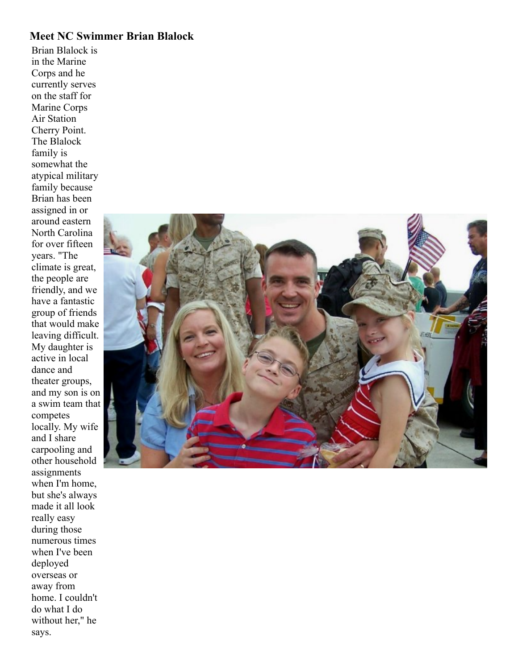## **Meet NC Swimmer Brian Blalock**

Brian Blalock is in the Marine Corps and he currently serves on the staff for Marine Corps Air Station Cherry Point. The Blalock family is somewhat the atypical military family because Brian has been assigned in or around eastern North Carolina for over fifteen years. "The climate is great, the people are friendly, and we have a fantastic group of friends that would make leaving difficult. My daughter is active in local dance and theater groups, and my son is on a swim team that competes locally. My wife and I share carpooling and other household assignments when I'm home, but she's always made it all look really easy during those numerous times when I've been deployed overseas or away from home. I couldn't do what I do without her," he says.